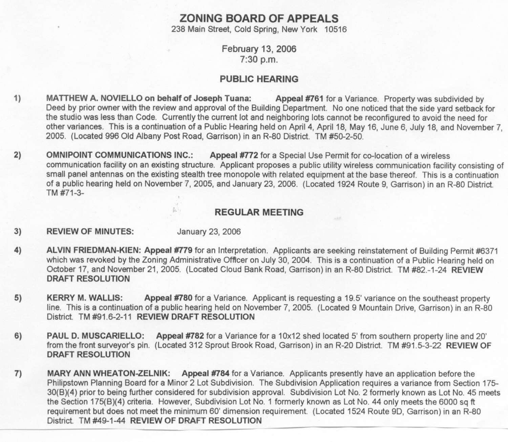## **ZONING BOARD OF APPEALS**

238 Main Street, Cold Spring, New York 10516

February 13, 2006 7:30 p.m.

## PUBLIC HEARING

- 1) MATTHEW A. NOVIELLO on behalf of Joseph Tuana: Appeal #761 for a Variance. Property was subdivided by Deed by prior owner with the review and approval of the Building Department. No one noticed that the side yard setback for the studio was less than Code. Currently the current lot and neighboring lots cannot be reconfigured to avoid the need for other variances. This is a continuation of a Public Hearing held on April 4, April 18, May 16, June 6, July 18, and November 7, 2005. (Located 996 Old Albany Post Road, Garrison) in an R-80 District. TM #50-2-50.
- 2) OMNIPOINT COMMUNICATIONS INC.: Appeal #772 for a Special Use Permit for co-location of a wireless communication facility on an existing structure. Applicant proposes a public utility wireless communication facility consisting of small panel antennas on the existing stealth tree monopole with related equipment at the base thereof. This is a continuation of a public hearing held on November 7,2005, and January 23, 2006. (Located 1924 Route 9, Garrison) in an R-80 District. TM #71-3-

## REGULAR MEETING

- 3) REVIEW OF MINUTES: January 23, 2006
- 4) ALVIN FRIEDMAN-KIEN: Appeal #779 for an Interpretation. Applicants are seeking reinstatement of Building Permit #6371 which was revoked by the Zoning Administrative Officer on July 30, 2004. This is a continuation of a Public Hearing held on October 17, and November 21,2005. (Located Cloud Bank Road, Garrison) in an R-80 District. TM #82.-1-24 REVIEW DRAFT RESOLUTION
- 5) KERRY M. WALLIS: Appeal #780 for a Variance. Applicant is requesting a 19.5' variance on the southeast property line. This is a continuation of a public hearing held on November 7, 2005. (Located 9 Mountain Drive, Garrison) in an R-80 District. TM #91.6-2-11 REVIEW DRAFT RESOLUTION
- 6) PAUL D. MUSCARIELLO: Appeal #782 for a Variance for a 10x12 shed located 5' from southern property line and 20' from the front surveyor's pin. (Located 312 Sprout Brook Road, Garrison) in an R-20 District. TM #91.5-3-22 REVIEW OF DRAFT RESOLUTION
- 7) MARY ANN WHEATON-ZELNIK: Appeal #784 for a Variance. Applicants presently have an application before the Philipstown Planning Board for a Minor 2 Lot Subdivision. The Subdivision Application requires a variance from Section 175- 30(B)(4) prior to being further considered for subdivision approval. Subdivision Lot No.2 formerly known as Lot No. 45 meets the Section 175(B)(4) criteria. However, Subdivision Lot No. 1 formerly known as Lot No. 44 only meets the 6000 sq ft requirement but does not meet the minimum 60' dimension requirement. (Located 1524 Route 90, Garrison) in an R-80 District. TM #49-1-44 REVIEW OF DRAFT RESOLUTION